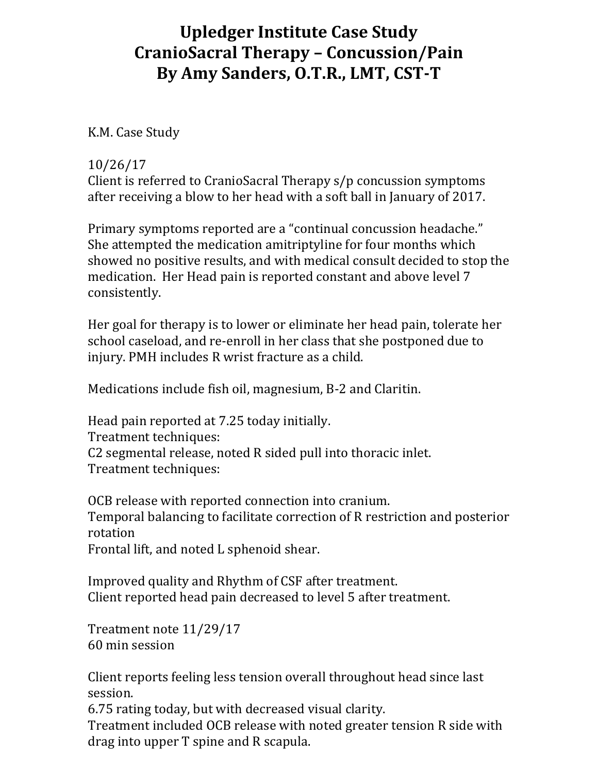## **Upledger Institute Case Study CranioSacral Therapy – Concussion/Pain By Amy Sanders, O.T.R., LMT, CST‐T**

K.M. Case Study

## 10/26/17

Client is referred to CranioSacral Therapy s/p concussion symptoms after receiving a blow to her head with a soft ball in January of 2017.

Primary symptoms reported are a "continual concussion headache." She attempted the medication amitriptyline for four months which showed no positive results, and with medical consult decided to stop the medication. Her Head pain is reported constant and above level 7 consistently.

Her goal for therapy is to lower or eliminate her head pain, tolerate her school caseload, and re-enroll in her class that she postponed due to injury. PMH includes R wrist fracture as a child.

Medications include fish oil, magnesium, B-2 and Claritin.

Head pain reported at 7.25 today initially. Treatment techniques: C2 segmental release, noted R sided pull into thoracic inlet. Treatment techniques:

OCB release with reported connection into cranium. Temporal balancing to facilitate correction of R restriction and posterior rotation Frontal lift, and noted L sphenoid shear.

Improved quality and Rhythm of CSF after treatment. Client reported head pain decreased to level 5 after treatment.

Treatment note 11/29/17 60 min session

Client reports feeling less tension overall throughout head since last session.

6.75 rating today, but with decreased visual clarity.

Treatment included OCB release with noted greater tension R side with drag into upper T spine and R scapula.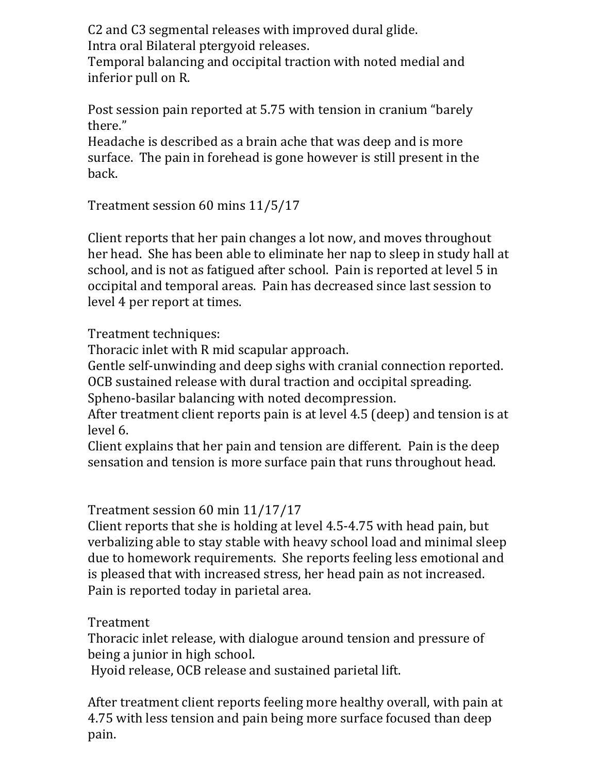C2 and C3 segmental releases with improved dural glide. Intra oral Bilateral ptergyoid releases.

Temporal balancing and occipital traction with noted medial and inferior pull on R.

Post session pain reported at 5.75 with tension in cranium "barely there."

Headache is described as a brain ache that was deep and is more surface. The pain in forehead is gone however is still present in the back.

Treatment session 60 mins 11/5/17

Client reports that her pain changes a lot now, and moves throughout her head. She has been able to eliminate her nap to sleep in study hall at school, and is not as fatigued after school. Pain is reported at level 5 in occipital and temporal areas. Pain has decreased since last session to level 4 per report at times.

Treatment techniques:

Thoracic inlet with R mid scapular approach.

Gentle self-unwinding and deep sighs with cranial connection reported. OCB sustained release with dural traction and occipital spreading.

Spheno-basilar balancing with noted decompression.

After treatment client reports pain is at level 4.5 (deep) and tension is at level 6.

Client explains that her pain and tension are different. Pain is the deep sensation and tension is more surface pain that runs throughout head.

Treatment session 60 min 11/17/17

Client reports that she is holding at level 4.5-4.75 with head pain, but verbalizing able to stay stable with heavy school load and minimal sleep due to homework requirements. She reports feeling less emotional and is pleased that with increased stress, her head pain as not increased. Pain is reported today in parietal area.

Treatment

Thoracic inlet release, with dialogue around tension and pressure of being a junior in high school.

Hyoid release, OCB release and sustained parietal lift.

After treatment client reports feeling more healthy overall, with pain at 4.75 with less tension and pain being more surface focused than deep pain.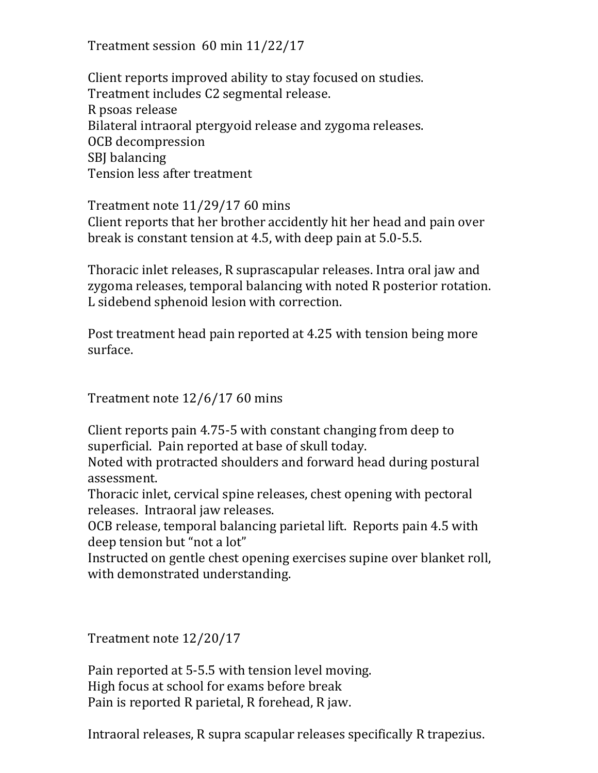Treatment session 60 min 11/22/17

Client reports improved ability to stay focused on studies. Treatment includes C2 segmental release. R psoas release Bilateral intraoral ptergyoid release and zygoma releases. OCB decompression SBJ balancing Tension less after treatment

Treatment note 11/29/17 60 mins Client reports that her brother accidently hit her head and pain over break is constant tension at 4.5, with deep pain at 5.0-5.5.

Thoracic inlet releases, R suprascapular releases. Intra oral jaw and zygoma releases, temporal balancing with noted R posterior rotation. L sidebend sphenoid lesion with correction.

Post treatment head pain reported at 4.25 with tension being more surface.

Treatment note 12/6/17 60 mins

Client reports pain 4.75-5 with constant changing from deep to superficial. Pain reported at base of skull today.

Noted with protracted shoulders and forward head during postural assessment.

Thoracic inlet, cervical spine releases, chest opening with pectoral releases. Intraoral jaw releases.

OCB release, temporal balancing parietal lift. Reports pain 4.5 with deep tension but "not a lot"

Instructed on gentle chest opening exercises supine over blanket roll, with demonstrated understanding.

Treatment note 12/20/17

Pain reported at 5-5.5 with tension level moving. High focus at school for exams before break Pain is reported R parietal, R forehead, R jaw.

Intraoral releases, R supra scapular releases specifically R trapezius.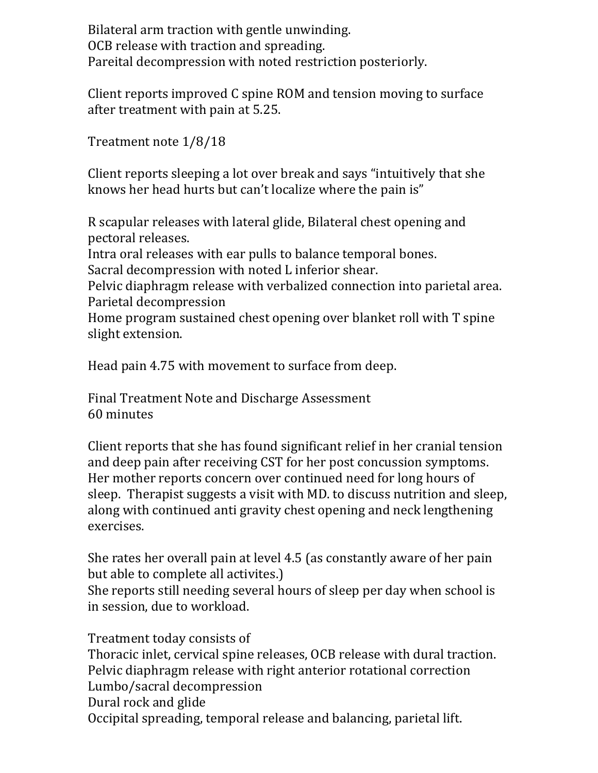Bilateral arm traction with gentle unwinding. OCB release with traction and spreading. Pareital decompression with noted restriction posteriorly.

Client reports improved C spine ROM and tension moving to surface after treatment with pain at 5.25.

Treatment note 1/8/18

Client reports sleeping a lot over break and says "intuitively that she knows her head hurts but can't localize where the pain is"

R scapular releases with lateral glide, Bilateral chest opening and pectoral releases.

Intra oral releases with ear pulls to balance temporal bones. Sacral decompression with noted L inferior shear.

Pelvic diaphragm release with verbalized connection into parietal area.

Parietal decompression

Home program sustained chest opening over blanket roll with T spine slight extension.

Head pain 4.75 with movement to surface from deep.

Final Treatment Note and Discharge Assessment 60 minutes

Client reports that she has found significant relief in her cranial tension and deep pain after receiving CST for her post concussion symptoms. Her mother reports concern over continued need for long hours of sleep. Therapist suggests a visit with MD. to discuss nutrition and sleep, along with continued anti gravity chest opening and neck lengthening exercises.

She rates her overall pain at level 4.5 (as constantly aware of her pain but able to complete all activites.)

She reports still needing several hours of sleep per day when school is in session, due to workload.

Treatment today consists of Thoracic inlet, cervical spine releases, OCB release with dural traction. Pelvic diaphragm release with right anterior rotational correction Lumbo/sacral decompression Dural rock and glide Occipital spreading, temporal release and balancing, parietal lift.